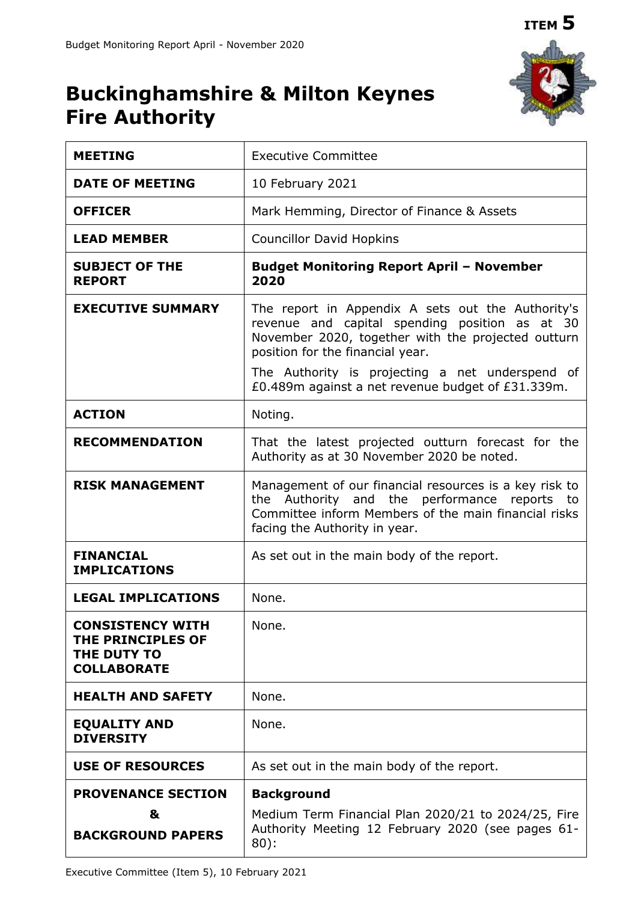

# **Buckinghamshire & Milton Keynes Fire Authority**

| <b>MEETING</b>                                                                    | <b>Executive Committee</b>                                                                                                                                                                      |  |  |  |  |  |
|-----------------------------------------------------------------------------------|-------------------------------------------------------------------------------------------------------------------------------------------------------------------------------------------------|--|--|--|--|--|
| <b>DATE OF MEETING</b>                                                            | 10 February 2021                                                                                                                                                                                |  |  |  |  |  |
| <b>OFFICER</b>                                                                    | Mark Hemming, Director of Finance & Assets                                                                                                                                                      |  |  |  |  |  |
| <b>LEAD MEMBER</b>                                                                | <b>Councillor David Hopkins</b>                                                                                                                                                                 |  |  |  |  |  |
| <b>SUBJECT OF THE</b><br><b>REPORT</b>                                            | <b>Budget Monitoring Report April - November</b><br>2020                                                                                                                                        |  |  |  |  |  |
| <b>EXECUTIVE SUMMARY</b>                                                          | The report in Appendix A sets out the Authority's<br>revenue and capital spending position as at 30<br>November 2020, together with the projected outturn<br>position for the financial year.   |  |  |  |  |  |
|                                                                                   | The Authority is projecting a net underspend of<br>£0.489m against a net revenue budget of £31.339m.                                                                                            |  |  |  |  |  |
| <b>ACTION</b>                                                                     | Noting.                                                                                                                                                                                         |  |  |  |  |  |
| <b>RECOMMENDATION</b>                                                             | That the latest projected outturn forecast for the<br>Authority as at 30 November 2020 be noted.                                                                                                |  |  |  |  |  |
| <b>RISK MANAGEMENT</b>                                                            | Management of our financial resources is a key risk to<br>the Authority and the performance reports to<br>Committee inform Members of the main financial risks<br>facing the Authority in year. |  |  |  |  |  |
| <b>FINANCIAL</b><br><b>IMPLICATIONS</b>                                           | As set out in the main body of the report.                                                                                                                                                      |  |  |  |  |  |
| <b>LEGAL IMPLICATIONS</b>                                                         | None.                                                                                                                                                                                           |  |  |  |  |  |
| <b>CONSISTENCY WITH</b><br>THE PRINCIPLES OF<br>THE DUTY TO<br><b>COLLABORATE</b> | None.                                                                                                                                                                                           |  |  |  |  |  |
| <b>HEALTH AND SAFETY</b>                                                          | None.                                                                                                                                                                                           |  |  |  |  |  |
| <b>EQUALITY AND</b><br><b>DIVERSITY</b>                                           | None.                                                                                                                                                                                           |  |  |  |  |  |
| <b>USE OF RESOURCES</b>                                                           | As set out in the main body of the report.                                                                                                                                                      |  |  |  |  |  |
| <b>PROVENANCE SECTION</b><br>&<br><b>BACKGROUND PAPERS</b>                        | <b>Background</b><br>Medium Term Financial Plan 2020/21 to 2024/25, Fire<br>Authority Meeting 12 February 2020 (see pages 61-<br>$80$ :                                                         |  |  |  |  |  |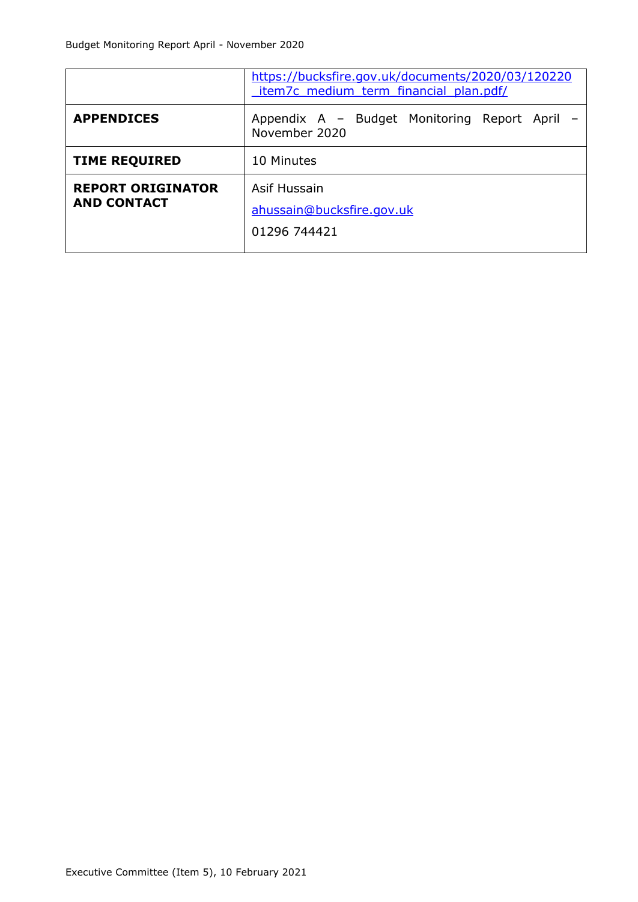|                                                | https://bucksfire.gov.uk/documents/2020/03/120220<br>item7c medium term financial plan.pdf/ |  |  |  |  |  |
|------------------------------------------------|---------------------------------------------------------------------------------------------|--|--|--|--|--|
| <b>APPENDICES</b>                              | Appendix A - Budget Monitoring Report April -<br>November 2020                              |  |  |  |  |  |
| <b>TIME REQUIRED</b>                           | 10 Minutes                                                                                  |  |  |  |  |  |
| <b>REPORT ORIGINATOR</b><br><b>AND CONTACT</b> | Asif Hussain<br>ahussain@bucksfire.gov.uk<br>01296 744421                                   |  |  |  |  |  |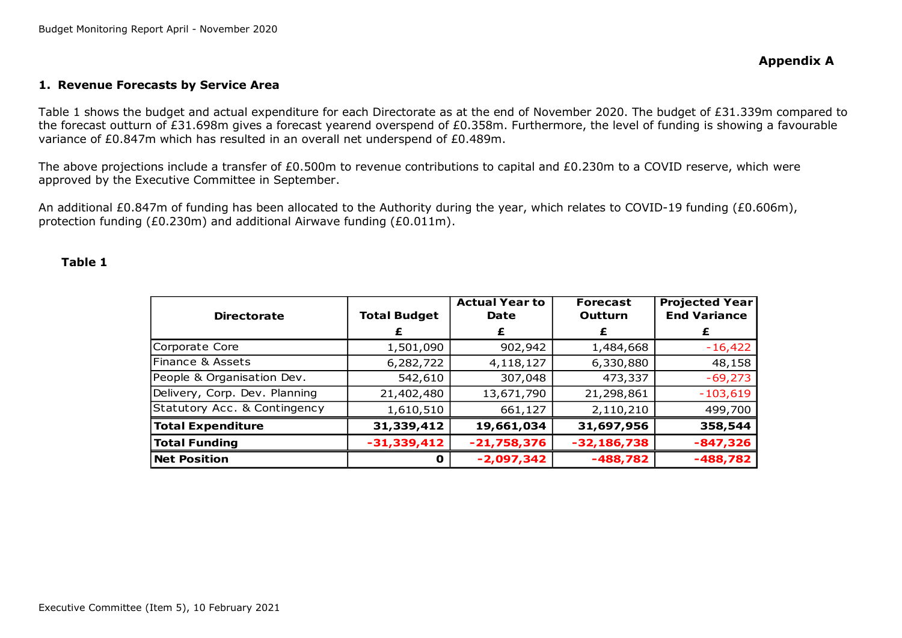#### **1. Revenue Forecasts by Service Area**

Table 1 shows the budget and actual expenditure for each Directorate as at the end of November 2020. The budget of £31.339m compared to the forecast outturn of £31.698m gives a forecast yearend overspend of £0.358m. Furthermore, the level of funding is showing a favourable variance of £0.847m which has resulted in an overall net underspend of £0.489m.

The above projections include a transfer of £0.500m to revenue contributions to capital and £0.230m to a COVID reserve, which were approved by the Executive Committee in September.

An additional £0.847m of funding has been allocated to the Authority during the year, which relates to COVID-19 funding (£0.606m), protection funding (£0.230m) and additional Airwave funding (£0.011m).

#### **Table 1**

| <b>Directorate</b>            | <b>Total Budget</b> | <b>Actual Year to</b><br>Date | <b>Forecast</b><br>Outturn | <b>Projected Year</b><br><b>End Variance</b> |
|-------------------------------|---------------------|-------------------------------|----------------------------|----------------------------------------------|
|                               |                     |                               | £                          |                                              |
| Corporate Core                | 1,501,090           | 902,942                       | 1,484,668                  | $-16,422$                                    |
| Finance & Assets              | 6,282,722           | 4,118,127                     | 6,330,880                  | 48,158                                       |
| People & Organisation Dev.    | 542,610             | 307,048                       | 473,337                    | $-69,273$                                    |
| Delivery, Corp. Dev. Planning | 21,402,480          | 13,671,790                    | 21,298,861                 | $-103,619$                                   |
| Statutory Acc. & Contingency  | 1,610,510           | 661,127                       | 2,110,210                  | 499,700                                      |
| <b>Total Expenditure</b>      | 31,339,412          | 19,661,034                    | 31,697,956                 | 358,544                                      |
| <b>Total Funding</b>          | $-31,339,412$       | $-21,758,376$                 | $-32,186,738$              | $-847,326$                                   |
| <b>Net Position</b>           | u                   | $-2,097,342$                  | $-488,782$                 | $-488,782$                                   |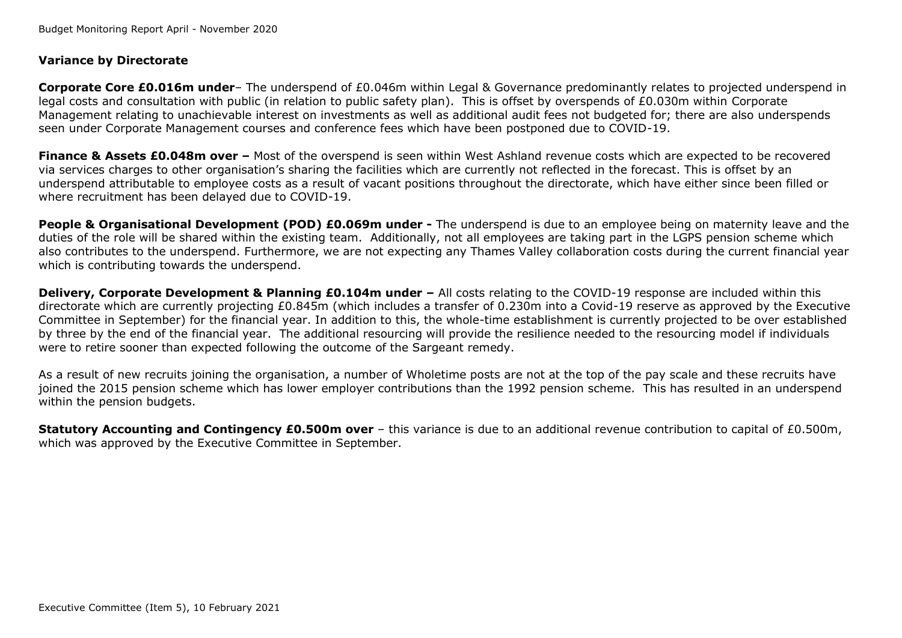## **Variance by Directorate**

**Corporate Core £0.016m under**– The underspend of £0.046m within Legal & Governance predominantly relates to projected underspend in legal costs and consultation with public (in relation to public safety plan). This is offset by overspends of £0.030m within Corporate Management relating to unachievable interest on investments as well as additional audit fees not budgeted for; there are also underspends seen under Corporate Management courses and conference fees which have been postponed due to COVID-19.

**Finance & Assets £0.048m over –** Most of the overspend is seen within West Ashland revenue costs which are expected to be recovered via services charges to other organisation's sharing the facilities which are currently not reflected in the forecast. This is offset by an underspend attributable to employee costs as a result of vacant positions throughout the directorate, which have either since been filled or where recruitment has been delayed due to COVID-19.

**People & Organisational Development (POD) £0.069m under -** The underspend is due to an employee being on maternity leave and the duties of the role will be shared within the existing team. Additionally, not all employees are taking part in the LGPS pension scheme which also contributes to the underspend. Furthermore, we are not expecting any Thames Valley collaboration costs during the current financial year which is contributing towards the underspend.

**Delivery, Corporate Development & Planning £0.104m under - All costs relating to the COVID-19 response are included within this** directorate which are currently projecting £0.845m (which includes a transfer of 0.230m into a Covid-19 reserve as approved by the Executive Committee in September) for the financial year. In addition to this, the whole-time establishment is currently projected to be over established by three by the end of the financial year. The additional resourcing will provide the resilience needed to the resourcing model if individuals were to retire sooner than expected following the outcome of the Sargeant remedy.

As a result of new recruits joining the organisation, a number of Wholetime posts are not at the top of the pay scale and these recruits have joined the 2015 pension scheme which has lower employer contributions than the 1992 pension scheme. This has resulted in an underspend within the pension budgets.

**Statutory Accounting and Contingency £0.500m over** – this variance is due to an additional revenue contribution to capital of £0.500m, which was approved by the Executive Committee in September.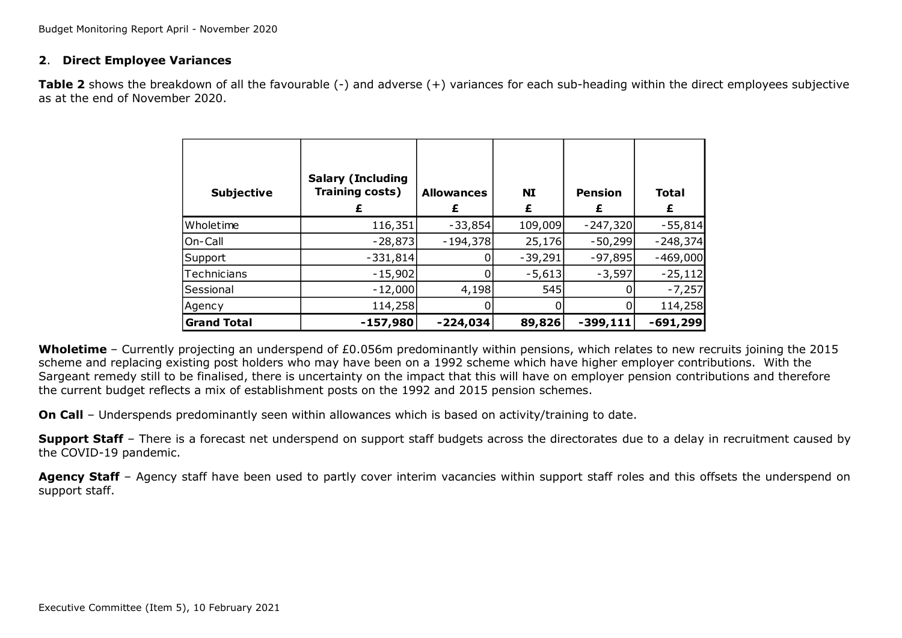### **2**. **Direct Employee Variances**

**Table 2** shows the breakdown of all the favourable (-) and adverse (+) variances for each sub-heading within the direct employees subjective as at the end of November 2020.

| <b>Subjective</b>  | <b>Salary (Including</b><br>Training costs) | <b>Allowances</b><br>£ | <b>NI</b> | <b>Pension</b><br>£ | <b>Total</b><br>£ |
|--------------------|---------------------------------------------|------------------------|-----------|---------------------|-------------------|
| Wholetime          | 116,351                                     | $-33,854$              | 109,009   | $-247,320$          | $-55,814$         |
| On-Call            | $-28,873$                                   | $-194,378$             | 25,176    | $-50,299$           | $-248,374$        |
| Support            | $-331,814$                                  |                        | $-39,291$ | $-97,895$           | $-469,000$        |
| Technicians        | $-15,902$                                   |                        | $-5,613$  | $-3,597$            | $-25,112$         |
| Sessional          | $-12,000$                                   | 4,198                  | 545       |                     | $-7,257$          |
| Agency             | 114,258                                     |                        |           |                     | 114,258           |
| <b>Grand Total</b> | $-157,980$                                  | $-224,034$             | 89,826    | $-399,111$          | $-691,299$        |

**Wholetime** – Currently projecting an underspend of £0.056m predominantly within pensions, which relates to new recruits joining the 2015 scheme and replacing existing post holders who may have been on a 1992 scheme which have higher employer contributions. With the Sargeant remedy still to be finalised, there is uncertainty on the impact that this will have on employer pension contributions and therefore the current budget reflects a mix of establishment posts on the 1992 and 2015 pension schemes.

**On Call** – Underspends predominantly seen within allowances which is based on activity/training to date.

**Support Staff** – There is a forecast net underspend on support staff budgets across the directorates due to a delay in recruitment caused by the COVID-19 pandemic.

Agency Staff – Agency staff have been used to partly cover interim vacancies within support staff roles and this offsets the underspend on support staff.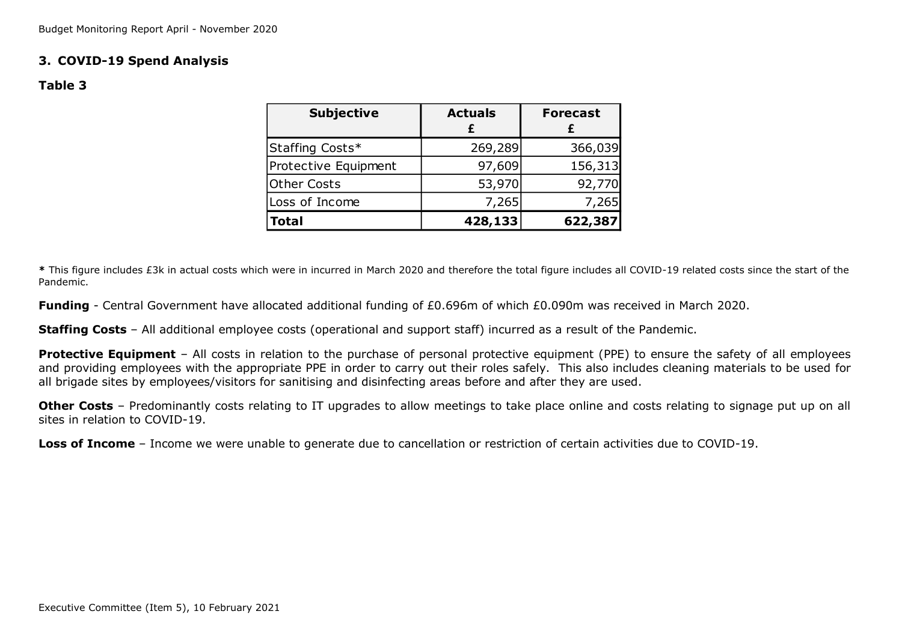## **3. COVID-19 Spend Analysis**

### **Table 3**

| <b>Subjective</b>    | <b>Actuals</b> | <b>Forecast</b> |
|----------------------|----------------|-----------------|
| Staffing Costs*      | 269,289        | 366,039         |
| Protective Equipment | 97,609         | 156,313         |
| <b>Other Costs</b>   | 53,970         | 92,770          |
| Loss of Income       | 7,265          | 7,265           |
| <b>Total</b>         | 428,133        | 622,387         |

**\*** This figure includes £3k in actual costs which were in incurred in March 2020 and therefore the total figure includes all COVID-19 related costs since the start of the Pandemic.

**Funding** - Central Government have allocated additional funding of £0.696m of which £0.090m was received in March 2020.

**Staffing Costs** – All additional employee costs (operational and support staff) incurred as a result of the Pandemic.

**Protective Equipment** – All costs in relation to the purchase of personal protective equipment (PPE) to ensure the safety of all employees and providing employees with the appropriate PPE in order to carry out their roles safely. This also includes cleaning materials to be used for all brigade sites by employees/visitors for sanitising and disinfecting areas before and after they are used.

**Other Costs** – Predominantly costs relating to IT upgrades to allow meetings to take place online and costs relating to signage put up on all sites in relation to COVID-19.

**Loss of Income** – Income we were unable to generate due to cancellation or restriction of certain activities due to COVID-19.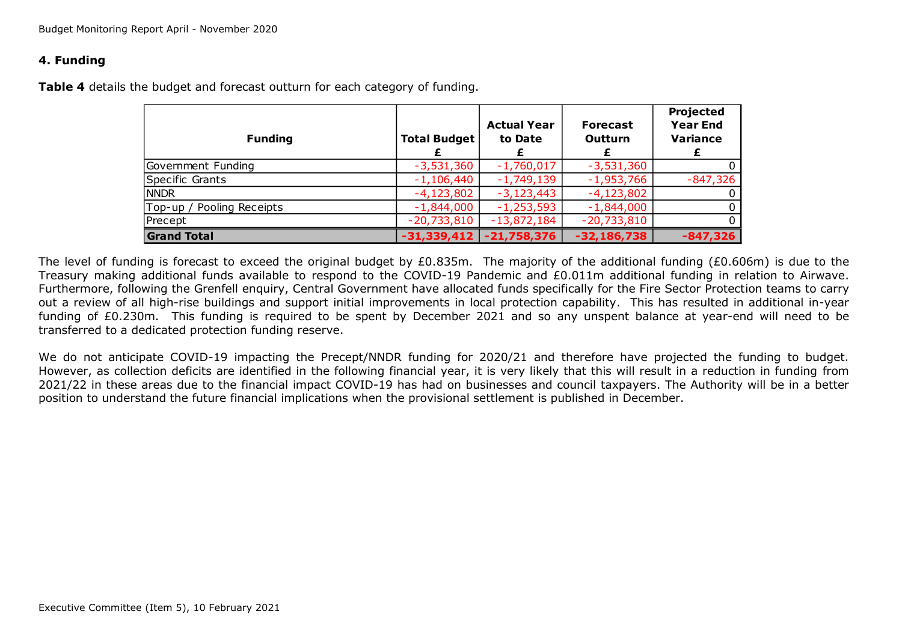### **4. Funding**

**Table 4** details the budget and forecast outturn for each category of funding.

| <b>Funding</b>            | <b>Total Budget</b> | <b>Actual Year</b><br>to Date | <b>Forecast</b><br>Outturn | Projected<br><b>Year End</b><br><b>Variance</b> |
|---------------------------|---------------------|-------------------------------|----------------------------|-------------------------------------------------|
| Government Funding        | $-3,531,360$        | $-1,760,017$                  | $-3,531,360$               |                                                 |
| Specific Grants           | $-1,106,440$        | $-1,749,139$                  | $-1,953,766$               | $-847,326$                                      |
| <b>NNDR</b>               | $-4,123,802$        | $-3,123,443$                  | $-4,123,802$               |                                                 |
| Top-up / Pooling Receipts | $-1,844,000$        | $-1,253,593$                  | $-1,844,000$               |                                                 |
| Precept                   | $-20,733,810$       | $-13,872,184$                 | $-20,733,810$              | $\Omega$                                        |
| <b>Grand Total</b>        | $-31,339,412$       | $-21,758,376$                 | $-32,186,738$              | $-847,326$                                      |

The level of funding is forecast to exceed the original budget by £0.835m. The majority of the additional funding (£0.606m) is due to the Treasury making additional funds available to respond to the COVID-19 Pandemic and £0.011m additional funding in relation to Airwave. Furthermore, following the Grenfell enquiry, Central Government have allocated funds specifically for the Fire Sector Protection teams to carry out a review of all high-rise buildings and support initial improvements in local protection capability. This has resulted in additional in-year funding of £0.230m. This funding is required to be spent by December 2021 and so any unspent balance at year-end will need to be transferred to a dedicated protection funding reserve.

We do not anticipate COVID-19 impacting the Precept/NNDR funding for 2020/21 and therefore have projected the funding to budget. However, as collection deficits are identified in the following financial year, it is very likely that this will result in a reduction in funding from 2021/22 in these areas due to the financial impact COVID-19 has had on businesses and council taxpayers. The Authority will be in a better position to understand the future financial implications when the provisional settlement is published in December.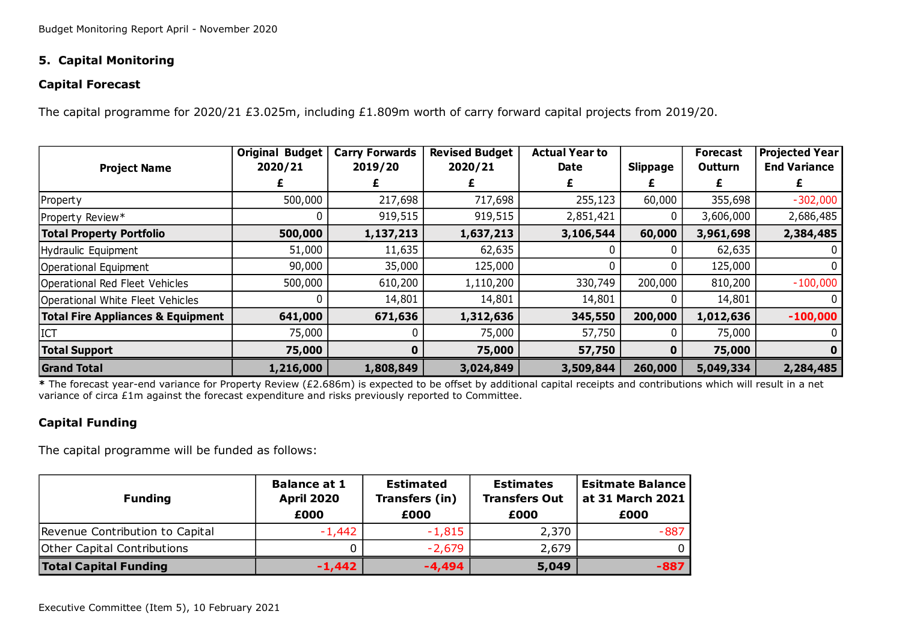# **5. Capital Monitoring**

## **Capital Forecast**

The capital programme for 2020/21 £3.025m, including £1.809m worth of carry forward capital projects from 2019/20.

|                                              | <b>Original Budget</b><br>2020/21 | <b>Carry Forwards</b><br>2019/20 | <b>Revised Budget</b><br>2020/21 | <b>Actual Year to</b><br>Date | <b>Slippage</b> | <b>Forecast</b><br><b>Outturn</b> | <b>Projected Year</b><br><b>End Variance</b> |
|----------------------------------------------|-----------------------------------|----------------------------------|----------------------------------|-------------------------------|-----------------|-----------------------------------|----------------------------------------------|
| <b>Project Name</b>                          |                                   |                                  |                                  |                               |                 |                                   |                                              |
| Property                                     | 500,000                           | 217,698                          | 717,698                          | 255,123                       | 60,000          | 355,698                           | $-302,000$                                   |
| Property Review*                             |                                   | 919,515                          | 919,515                          | 2,851,421                     |                 | 3,606,000                         | 2,686,485                                    |
| <b>Total Property Portfolio</b>              | 500,000                           | 1,137,213                        | 1,637,213                        | 3,106,544                     | 60,000          | 3,961,698                         | 2,384,485                                    |
| Hydraulic Equipment                          | 51,000                            | 11,635                           | 62,635                           |                               |                 | 62,635                            |                                              |
| Operational Equipment                        | 90,000                            | 35,000                           | 125,000                          |                               |                 | 125,000                           |                                              |
| Operational Red Fleet Vehicles               | 500,000                           | 610,200                          | 1,110,200                        | 330,749                       | 200,000         | 810,200                           | $-100,000$                                   |
| Operational White Fleet Vehicles             |                                   | 14,801                           | 14,801                           | 14,801                        |                 | 14,801                            |                                              |
| <b>Total Fire Appliances &amp; Equipment</b> | 641,000                           | 671,636                          | 1,312,636                        | 345,550                       | 200,000         | 1,012,636                         | $-100,000$                                   |
| ICT                                          | 75,000                            |                                  | 75,000                           | 57,750                        |                 | 75,000                            |                                              |
| <b>Total Support</b>                         | 75,000                            |                                  | 75,000                           | 57,750                        | 0               | 75,000                            | 0                                            |
| <b>Grand Total</b>                           | 1,216,000                         | 1,808,849                        | 3,024,849                        | 3,509,844                     | 260,000         | 5,049,334                         | 2,284,485                                    |

**\*** The forecast year-end variance for Property Review (£2.686m) is expected to be offset by additional capital receipts and contributions which will result in a net variance of circa £1m against the forecast expenditure and risks previously reported to Committee.

# **Capital Funding**

The capital programme will be funded as follows:

| <b>Funding</b>                     | <b>Balance at 1</b><br><b>April 2020</b><br>£000 | <b>Estimated</b><br>Transfers (in)<br>£000 | <b>Estimates</b><br><b>Transfers Out</b><br>£000 | <b>Esitmate Balance</b><br>at 31 March 2021<br>£000 |
|------------------------------------|--------------------------------------------------|--------------------------------------------|--------------------------------------------------|-----------------------------------------------------|
| Revenue Contribution to Capital    | $-1,442$                                         | $-1,815$                                   | 2,370                                            | $-887$                                              |
| <b>Other Capital Contributions</b> |                                                  | $-2,679$                                   | 2,679                                            |                                                     |
| <b>Total Capital Funding</b>       | $-1,442$                                         | $-4.494$                                   | 5,049                                            | $-887$                                              |